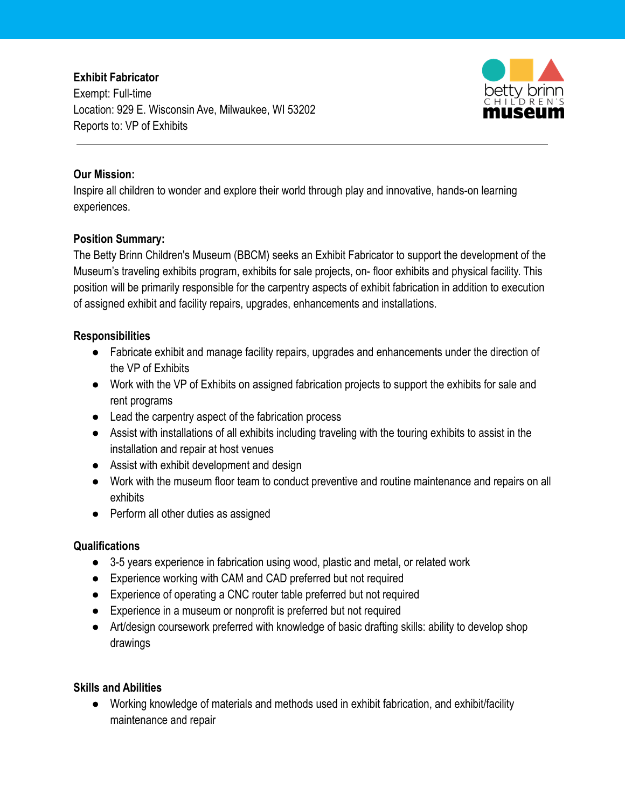# **Exhibit Fabricator**

Exempt: Full-time Location: 929 E. Wisconsin Ave, Milwaukee, WI 53202 Reports to: VP of Exhibits



## **Our Mission:**

Inspire all children to wonder and explore their world through play and innovative, hands-on learning experiences.

## **Position Summary:**

The Betty Brinn Children's Museum (BBCM) seeks an Exhibit Fabricator to support the development of the Museum's traveling exhibits program, exhibits for sale projects, on- floor exhibits and physical facility. This position will be primarily responsible for the carpentry aspects of exhibit fabrication in addition to execution of assigned exhibit and facility repairs, upgrades, enhancements and installations.

## **Responsibilities**

- Fabricate exhibit and manage facility repairs, upgrades and enhancements under the direction of the VP of Exhibits
- Work with the VP of Exhibits on assigned fabrication projects to support the exhibits for sale and rent programs
- Lead the carpentry aspect of the fabrication process
- Assist with installations of all exhibits including traveling with the touring exhibits to assist in the installation and repair at host venues
- Assist with exhibit development and design
- Work with the museum floor team to conduct preventive and routine maintenance and repairs on all exhibits
- Perform all other duties as assigned

### **Qualifications**

- 3-5 years experience in fabrication using wood, plastic and metal, or related work
- Experience working with CAM and CAD preferred but not required
- Experience of operating a CNC router table preferred but not required
- Experience in a museum or nonprofit is preferred but not required
- Art/design coursework preferred with knowledge of basic drafting skills: ability to develop shop drawings

### **Skills and Abilities**

● Working knowledge of materials and methods used in exhibit fabrication, and exhibit/facility maintenance and repair